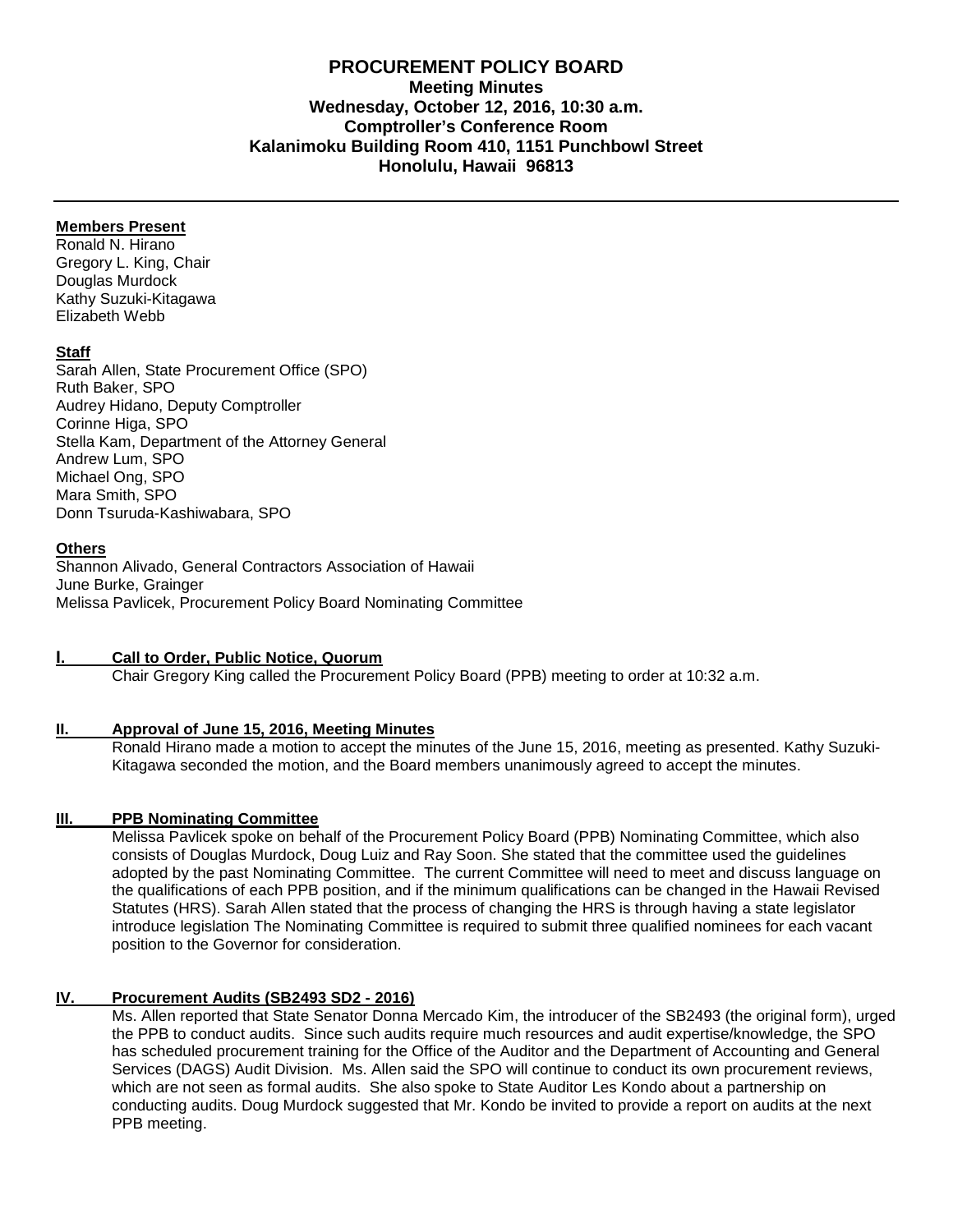# **PROCUREMENT POLICY BOARD Meeting Minutes Wednesday, October 12, 2016, 10:30 a.m. Comptroller's Conference Room Kalanimoku Building Room 410, 1151 Punchbowl Street Honolulu, Hawaii 96813**

## **Members Present**

Ronald N. Hirano Gregory L. King, Chair Douglas Murdock Kathy Suzuki-Kitagawa Elizabeth Webb

## **Staff**

Sarah Allen, State Procurement Office (SPO) Ruth Baker, SPO Audrey Hidano, Deputy Comptroller Corinne Higa, SPO Stella Kam, Department of the Attorney General Andrew Lum, SPO Michael Ong, SPO Mara Smith, SPO Donn Tsuruda-Kashiwabara, SPO

## **Others**

Shannon Alivado, General Contractors Association of Hawaii June Burke, Grainger Melissa Pavlicek, Procurement Policy Board Nominating Committee

## **I. Call to Order, Public Notice, Quorum**

Chair Gregory King called the Procurement Policy Board (PPB) meeting to order at 10:32 a.m.

## **II. Approval of June 15, 2016, [Meeting Minutes](http://spo.hawaii.gov/wp-content/uploads/2014/10/2014_0929-PROCUREMENT-POLICY-BOARD-minutes-DRAFT.pdf)**

Ronald Hirano made a motion to accept the minutes of the June 15, 2016, meeting as presented. Kathy Suzuki-Kitagawa seconded the motion, and the Board members unanimously agreed to accept the minutes.

## **III. PPB Nominating Committee**

Melissa Pavlicek spoke on behalf of the Procurement Policy Board (PPB) Nominating Committee, which also consists of Douglas Murdock, Doug Luiz and Ray Soon. She stated that the committee used the guidelines adopted by the past Nominating Committee. The current Committee will need to meet and discuss language on the qualifications of each PPB position, and if the minimum qualifications can be changed in the Hawaii Revised Statutes (HRS). Sarah Allen stated that the process of changing the HRS is through having a state legislator introduce legislation The Nominating Committee is required to submit three qualified nominees for each vacant position to the Governor for consideration.

# **IV. Procurement Audits (SB2493 SD2 - 2016)**

Ms. Allen reported that State Senator Donna Mercado Kim, the introducer of the SB2493 (the original form), urged the PPB to conduct audits. Since such audits require much resources and audit expertise/knowledge, the SPO has scheduled procurement training for the Office of the Auditor and the Department of Accounting and General Services (DAGS) Audit Division. Ms. Allen said the SPO will continue to conduct its own procurement reviews, which are not seen as formal audits. She also spoke to State Auditor Les Kondo about a partnership on conducting audits. Doug Murdock suggested that Mr. Kondo be invited to provide a report on audits at the next PPB meeting.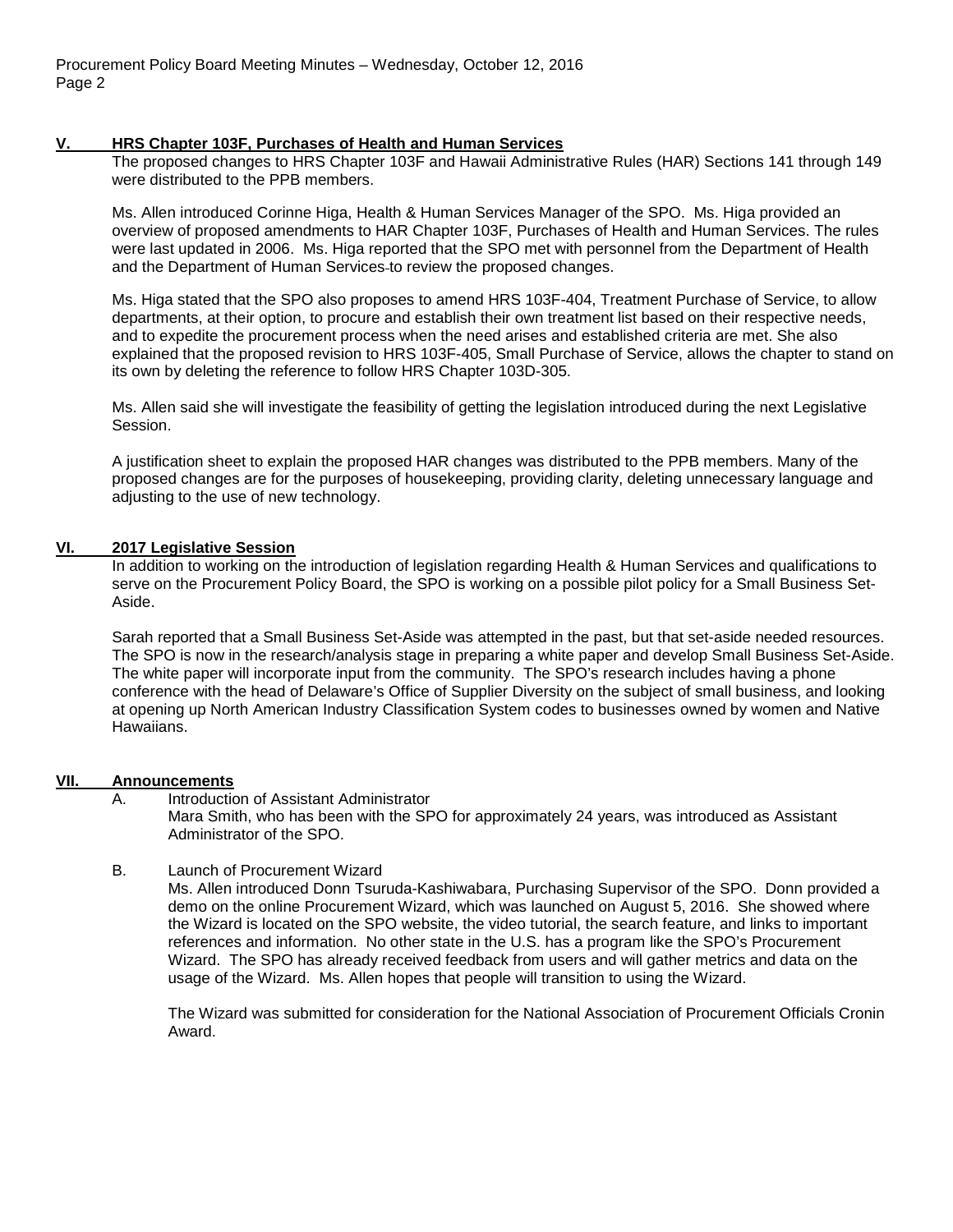Procurement Policy Board Meeting Minutes – Wednesday, October 12, 2016 Page 2

#### **V. HRS Chapter 103F, Purchases of Health and Human Services**

The proposed changes to HRS Chapter 103F and Hawaii Administrative Rules (HAR) Sections 141 through 149 were distributed to the PPB members.

Ms. Allen introduced Corinne Higa, Health & Human Services Manager of the SPO. Ms. Higa provided an overview of proposed amendments to HAR Chapter 103F, Purchases of Health and Human Services. The rules were last updated in 2006. Ms. Higa reported that the SPO met with personnel from the Department of Health and the Department of Human Services to review the proposed changes.

Ms. Higa stated that the SPO also proposes to amend HRS 103F-404, Treatment Purchase of Service, to allow departments, at their option, to procure and establish their own treatment list based on their respective needs, and to expedite the procurement process when the need arises and established criteria are met. She also explained that the proposed revision to HRS 103F-405, Small Purchase of Service, allows the chapter to stand on its own by deleting the reference to follow HRS Chapter 103D-305.

Ms. Allen said she will investigate the feasibility of getting the legislation introduced during the next Legislative Session.

A justification sheet to explain the proposed HAR changes was distributed to the PPB members. Many of the proposed changes are for the purposes of housekeeping, providing clarity, deleting unnecessary language and adjusting to the use of new technology.

# **VI. 2017 Legislative Session**

In addition to working on the introduction of legislation regarding Health & Human Services and qualifications to serve on the Procurement Policy Board, the SPO is working on a possible pilot policy for a Small Business Set-Aside.

Sarah reported that a Small Business Set-Aside was attempted in the past, but that set-aside needed resources. The SPO is now in the research/analysis stage in preparing a white paper and develop Small Business Set-Aside. The white paper will incorporate input from the community. The SPO's research includes having a phone conference with the head of Delaware's Office of Supplier Diversity on the subject of small business, and looking at opening up North American Industry Classification System codes to businesses owned by women and Native Hawaiians.

# **VII. Announcements**

Introduction of Assistant Administrator Mara Smith, who has been with the SPO for approximately 24 years, was introduced as Assistant Administrator of the SPO.

## B. Launch of Procurement Wizard

Ms. Allen introduced Donn Tsuruda-Kashiwabara, Purchasing Supervisor of the SPO. Donn provided a demo on the online Procurement Wizard, which was launched on August 5, 2016. She showed where the Wizard is located on the SPO website, the video tutorial, the search feature, and links to important references and information. No other state in the U.S. has a program like the SPO's Procurement Wizard. The SPO has already received feedback from users and will gather metrics and data on the usage of the Wizard. Ms. Allen hopes that people will transition to using the Wizard.

The Wizard was submitted for consideration for the National Association of Procurement Officials Cronin Award.